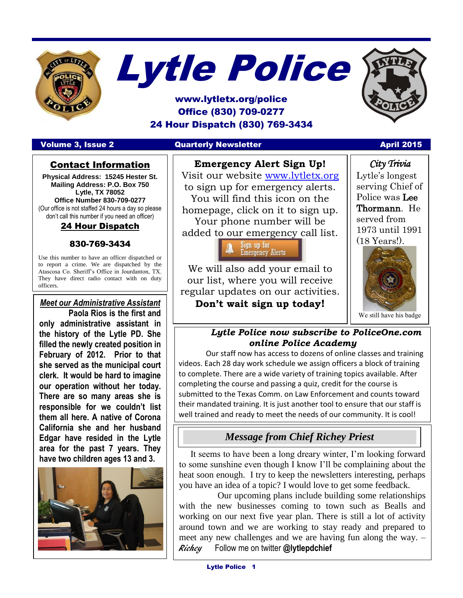



# www.lytletx.org/police Office (830) 709-0277 24 Hour Dispatch (830) 769-3434

#### Volume 3, Issue 2 Quarterly Newsletter April 2015 April 2015



#### **Emergency Alert Sign Up!**

Visit our website [www.lytletx.org](http://www.lytletx.org/) to sign up for emergency alerts. You will find this icon on the homepage, click on it to sign up. Your phone number will be added to our emergency call list.

> Sign up for **Emergency Alerts**

We will also add your email to our list, where you will receive regular updates on our activities. **Don't wait sign up today!**

*City Trivia*  Lytle's longest serving Chief of Police was Lee Thormann. He served from 1973 until 1991 (18 Years!).



We still have his badge

#### *Lytle Police now subscribe to PoliceOne.com online Police Academy*

Our staff now has access to dozens of online classes and training videos. Each 28 day work schedule we assign officers a block of training to complete. There are a wide variety of training topics available. After completing the course and passing a quiz, credit for the course is submitted to the Texas Comm. on Law Enforcement and counts toward their mandated training. It is just another tool to ensure that our staff is well trained and ready to meet the needs of our community. It is cool!

# *Message from Chief Richey Priest*

 It seems to have been a long dreary winter, I'm looking forward to some sunshine even though I know I'll be complaining about the heat soon enough. I try to keep the newsletters interesting, perhaps you have an idea of a topic? I would love to get some feedback.

 Our upcoming plans include building some relationships with the new businesses coming to town such as Bealls and working on our next five year plan. There is still a lot of activity around town and we are working to stay ready and prepared to meet any new challenges and we are having fun along the way. – Richey Follow me on twitter **@lytlepdchief**

# Contact Information

**Physical Address: 15245 Hester St. Mailing Address: P.O. Box 750 Lytle, TX 78052 Office Number 830-709-0277** (Our office is not staffed 24 hours a day so please don't call this number if you need an officer)

# 24 Hour Dispatch

830-769-3434

Use this number to have an officer dispatched or to report a crime. We are dispatched by the Atascosa Co. Sheriff's Office in Jourdanton, TX. They have direct radio contact with on duty officers.

## *Meet our Administrative Assistant* **Paola Rios is the first and**

I

**only administrative assistant in the history of the Lytle PD. She filled the newly created position in February of 2012. Prior to that she served as the municipal court clerk. It would be hard to imagine our operation without her today. There are so many areas she is responsible for we couldn't list them all here. A native of Corona California she and her husband Edgar have resided in the Lytle area for the past 7 years. They have two children ages 13 and 3.**